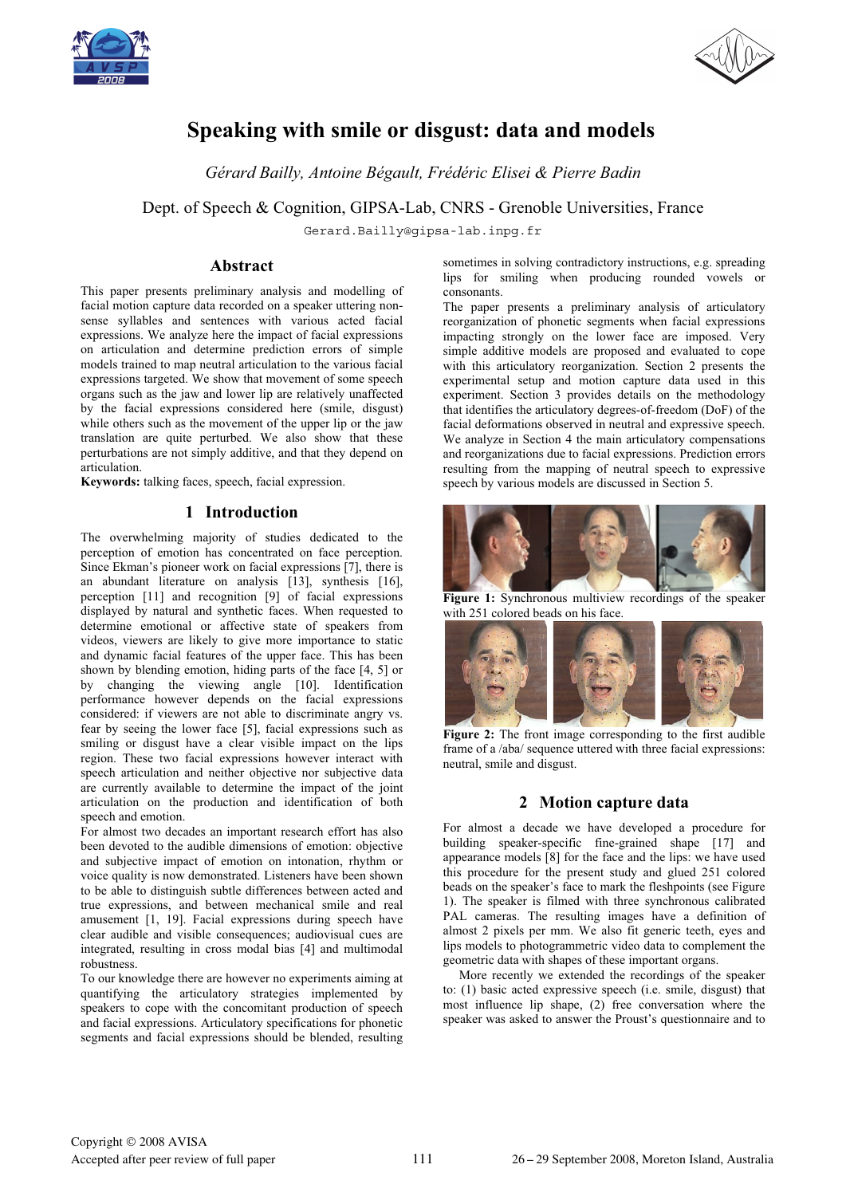



# **Speaking with smile or disgust: data and models**

*Gérard Bailly, Antoine Bégault, Frédéric Elisei & Pierre Badin*

Dept. of Speech & Cognition, GIPSA-Lab, CNRS - Grenoble Universities, France

Gerard.Bailly@gipsa-lab.inpg.fr

### **Abstract**

This paper presents preliminary analysis and modelling of facial motion capture data recorded on a speaker uttering nonsense syllables and sentences with various acted facial expressions. We analyze here the impact of facial expressions on articulation and determine prediction errors of simple models trained to map neutral articulation to the various facial expressions targeted. We show that movement of some speech organs such as the jaw and lower lip are relatively unaffected by the facial expressions considered here (smile, disgust) while others such as the movement of the upper lip or the jaw translation are quite perturbed. We also show that these perturbations are not simply additive, and that they depend on articulation.

**Keywords:** talking faces, speech, facial expression.

### **1 Introduction**

The overwhelming majority of studies dedicated to the perception of emotion has concentrated on face perception. Since Ekman's pioneer work on facial expressions [7], there is an abundant literature on analysis [13], synthesis [16], perception [11] and recognition [9] of facial expressions displayed by natural and synthetic faces. When requested to determine emotional or affective state of speakers from videos, viewers are likely to give more importance to static and dynamic facial features of the upper face. This has been shown by blending emotion, hiding parts of the face [4, 5] or by changing the viewing angle [10]. Identification performance however depends on the facial expressions considered: if viewers are not able to discriminate angry vs. fear by seeing the lower face [5], facial expressions such as smiling or disgust have a clear visible impact on the lips region. These two facial expressions however interact with speech articulation and neither objective nor subjective data are currently available to determine the impact of the joint articulation on the production and identification of both speech and emotion.

For almost two decades an important research effort has also been devoted to the audible dimensions of emotion: objective and subjective impact of emotion on intonation, rhythm or voice quality is now demonstrated. Listeners have been shown to be able to distinguish subtle differences between acted and true expressions, and between mechanical smile and real amusement [1, 19]. Facial expressions during speech have clear audible and visible consequences; audiovisual cues are integrated, resulting in cross modal bias [4] and multimodal robustness.

To our knowledge there are however no experiments aiming at quantifying the articulatory strategies implemented by speakers to cope with the concomitant production of speech and facial expressions. Articulatory specifications for phonetic segments and facial expressions should be blended, resulting sometimes in solving contradictory instructions, e.g. spreading lips for smiling when producing rounded vowels or consonants.

The paper presents a preliminary analysis of articulatory reorganization of phonetic segments when facial expressions impacting strongly on the lower face are imposed. Very simple additive models are proposed and evaluated to cope with this articulatory reorganization. Section 2 presents the experimental setup and motion capture data used in this experiment. Section 3 provides details on the methodology that identifies the articulatory degrees-of-freedom (DoF) of the facial deformations observed in neutral and expressive speech. We analyze in Section 4 the main articulatory compensations and reorganizations due to facial expressions. Prediction errors resulting from the mapping of neutral speech to expressive speech by various models are discussed in Section 5.



**Figure 1:** Synchronous multiview recordings of the speaker with 251 colored beads on his face.



Figure 2: The front image corresponding to the first audible frame of a /aba/ sequence uttered with three facial expressions: neutral, smile and disgust.

### **2 Motion capture data**

For almost a decade we have developed a procedure for building speaker-specific fine-grained shape [17] and appearance models [8] for the face and the lips: we have used this procedure for the present study and glued 251 colored beads on the speaker's face to mark the fleshpoints (see Figure 1). The speaker is filmed with three synchronous calibrated PAL cameras. The resulting images have a definition of almost 2 pixels per mm. We also fit generic teeth, eyes and lips models to photogrammetric video data to complement the geometric data with shapes of these important organs.

More recently we extended the recordings of the speaker to: (1) basic acted expressive speech (i.e. smile, disgust) that most influence lip shape, (2) free conversation where the speaker was asked to answer the Proust's questionnaire and to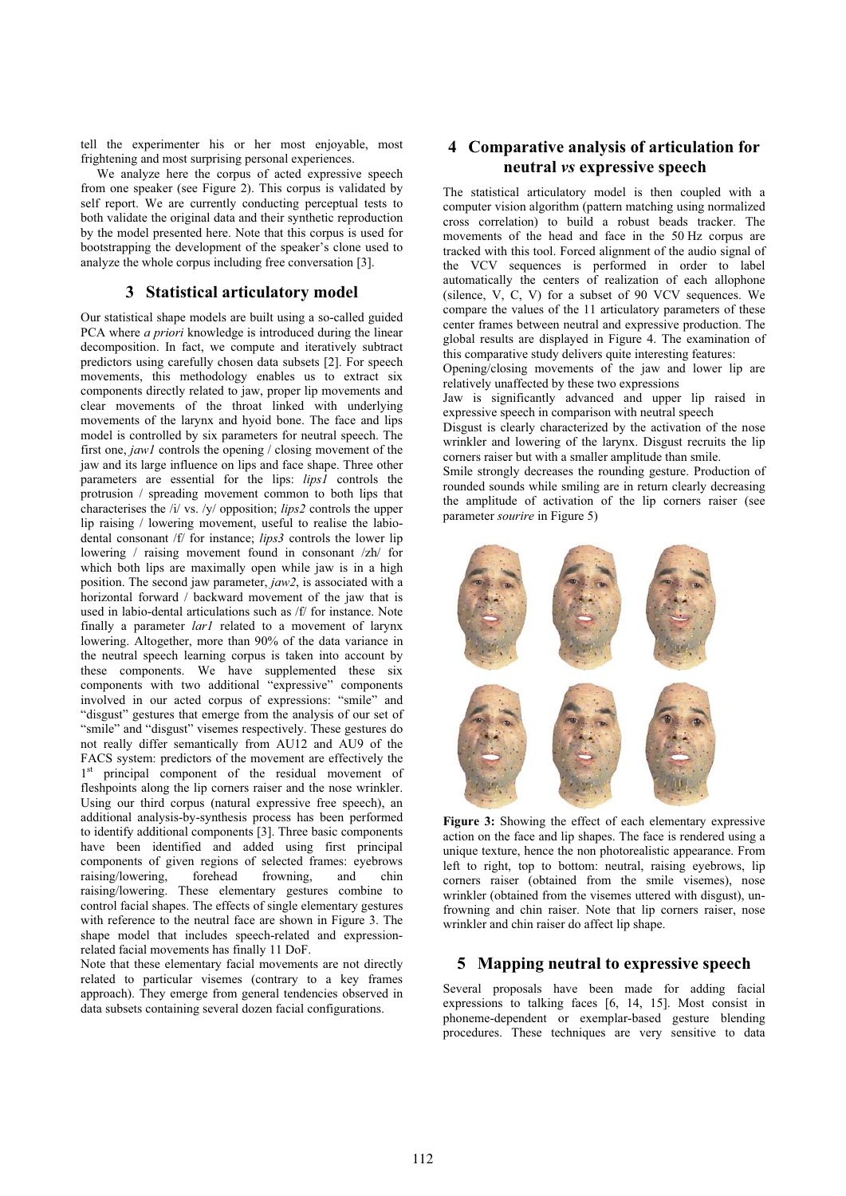tell the experimenter his or her most enjoyable, most frightening and most surprising personal experiences.

We analyze here the corpus of acted expressive speech from one speaker (see Figure 2). This corpus is validated by self report. We are currently conducting perceptual tests to both validate the original data and their synthetic reproduction by the model presented here. Note that this corpus is used for bootstrapping the development of the speaker's clone used to analyze the whole corpus including free conversation [3].

### **3 Statistical articulatory model**

Our statistical shape models are built using a so-called guided PCA where *a priori* knowledge is introduced during the linear decomposition. In fact, we compute and iteratively subtract predictors using carefully chosen data subsets [2]. For speech movements, this methodology enables us to extract six components directly related to jaw, proper lip movements and clear movements of the throat linked with underlying movements of the larynx and hyoid bone. The face and lips model is controlled by six parameters for neutral speech. The first one, *jaw1* controls the opening / closing movement of the jaw and its large influence on lips and face shape. Three other parameters are essential for the lips: *lips1* controls the protrusion / spreading movement common to both lips that characterises the /i/ vs. /y/ opposition; *lips2* controls the upper lip raising / lowering movement, useful to realise the labiodental consonant /f/ for instance; *lips3* controls the lower lip lowering / raising movement found in consonant /zh/ for which both lips are maximally open while jaw is in a high position. The second jaw parameter, *jaw2*, is associated with a horizontal forward / backward movement of the jaw that is used in labio-dental articulations such as /f/ for instance. Note finally a parameter *lar1* related to a movement of larynx lowering. Altogether, more than 90% of the data variance in the neutral speech learning corpus is taken into account by these components. We have supplemented these six components with two additional "expressive" components involved in our acted corpus of expressions: "smile" and "disgust" gestures that emerge from the analysis of our set of "smile" and "disgust" visemes respectively. These gestures do not really differ semantically from AU12 and AU9 of the FACS system: predictors of the movement are effectively the 1<sup>st</sup> principal component of the residual movement of fleshpoints along the lip corners raiser and the nose wrinkler. Using our third corpus (natural expressive free speech), an additional analysis-by-synthesis process has been performed to identify additional components [3]. Three basic components have been identified and added using first principal components of given regions of selected frames: eyebrows raising/lowering, forehead frowning, and chin raising/lowering. These elementary gestures combine to control facial shapes. The effects of single elementary gestures with reference to the neutral face are shown in Figure 3. The shape model that includes speech-related and expressionrelated facial movements has finally 11 DoF.

Note that these elementary facial movements are not directly related to particular visemes (contrary to a key frames approach). They emerge from general tendencies observed in data subsets containing several dozen facial configurations.

## **4 Comparative analysis of articulation for neutral** *vs* **expressive speech**

The statistical articulatory model is then coupled with a computer vision algorithm (pattern matching using normalized cross correlation) to build a robust beads tracker. The movements of the head and face in the 50 Hz corpus are tracked with this tool. Forced alignment of the audio signal of the VCV sequences is performed in order to label automatically the centers of realization of each allophone (silence, V, C, V) for a subset of 90 VCV sequences. We compare the values of the 11 articulatory parameters of these center frames between neutral and expressive production. The global results are displayed in Figure 4. The examination of this comparative study delivers quite interesting features:

Opening/closing movements of the jaw and lower lip are relatively unaffected by these two expressions

Jaw is significantly advanced and upper lip raised in expressive speech in comparison with neutral speech

Disgust is clearly characterized by the activation of the nose wrinkler and lowering of the larynx. Disgust recruits the lip corners raiser but with a smaller amplitude than smile.

Smile strongly decreases the rounding gesture. Production of rounded sounds while smiling are in return clearly decreasing the amplitude of activation of the lip corners raiser (see parameter *sourire* in Figure 5)



**Figure 3:** Showing the effect of each elementary expressive action on the face and lip shapes. The face is rendered using a unique texture, hence the non photorealistic appearance. From left to right, top to bottom: neutral, raising eyebrows, lip corners raiser (obtained from the smile visemes), nose wrinkler (obtained from the visemes uttered with disgust), unfrowning and chin raiser. Note that lip corners raiser, nose wrinkler and chin raiser do affect lip shape.

### **5 Mapping neutral to expressive speech**

Several proposals have been made for adding facial expressions to talking faces [6, 14, 15]. Most consist in phoneme-dependent or exemplar-based gesture blending procedures. These techniques are very sensitive to data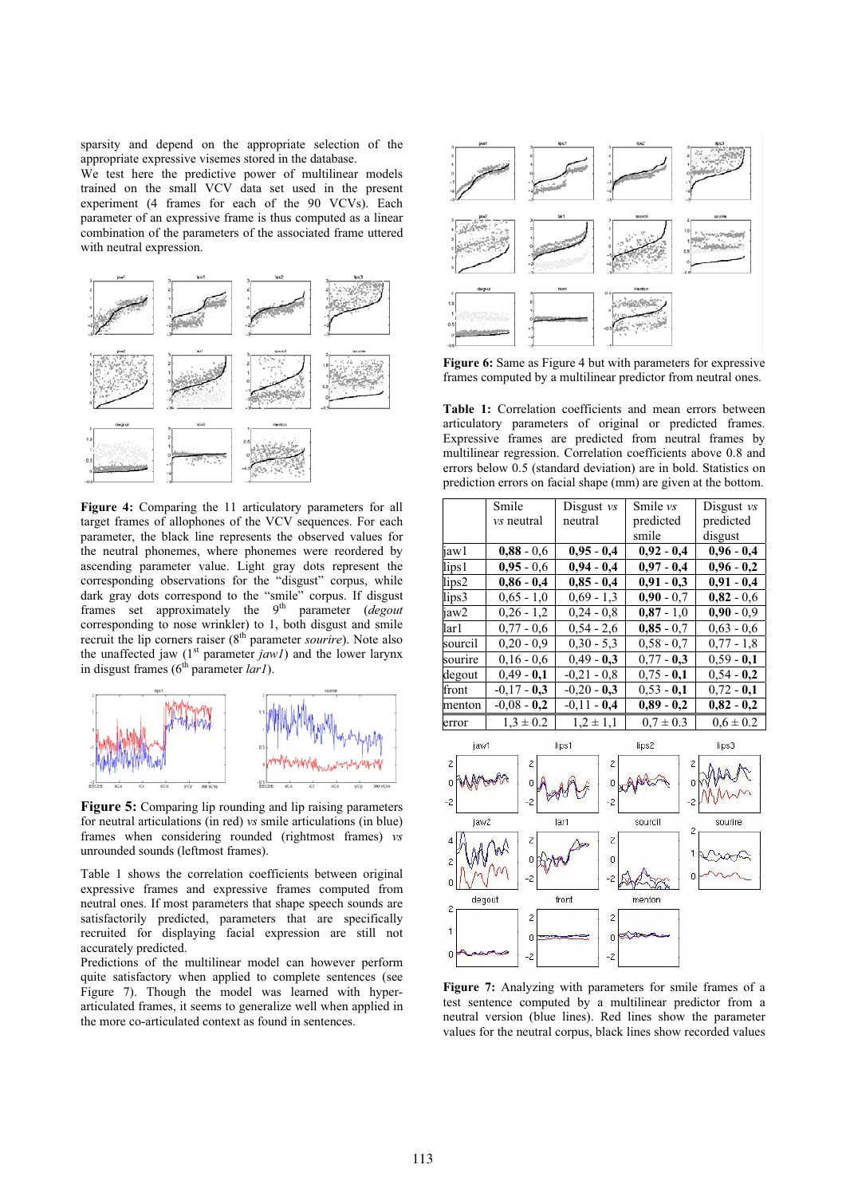sparsity and depend on the appropriate selection of the appropriate expressive visemes stored in the database.

We test here the predictive power of multilinear models trained on the small VCV data set used in the present experiment (4 frames for each of the 90 VCVs). Each parameter of an expressive frame is thus computed as a linear combination of the parameters of the associated frame uttered with neutral expression.



**Figure 4:** Comparing the 11 articulatory parameters for all target frames of allophones of the VCV sequences. For each parameter, the black line represents the observed values for the neutral phonemes, where phonemes were reordered by ascending parameter value. Light gray dots represent the corresponding observations for the "disgust" corpus, while dark gray dots correspond to the "smile" corpus. If disgust frames set approximately the 9<sup>th</sup> parameter (*degout* corresponding to nose wrinkler) to 1, both disgust and smile recruit the lip corners raiser (8<sup>th</sup> parameter *sourire*). Note also the unaffected jaw (1<sup>st</sup> parameter *jaw1*) and the lower larynx in disgust frames (6<sup>th</sup> parameter *lar1*).



**Figure 5:** Comparing lip rounding and lip raising parameters for neutral articulations (in red) *vs* smile articulations (in blue) frames when considering rounded (rightmost frames) *vs* unrounded sounds (leftmost frames).

Table 1 shows the correlation coefficients between original expressive frames and expressive frames computed from neutral ones. If most parameters that shape speech sounds are satisfactorily predicted, parameters that are specifically recruited for displaying facial expression are still not accurately predicted.

Predictions of the multilinear model can however perform quite satisfactory when applied to complete sentences (see Figure 7). Though the model was learned with hyperarticulated frames, it seems to generalize well when applied in the more co-articulated context as found in sentences.



**Figure 6:** Same as Figure 4 but with parameters for expressive frames computed by a multilinear predictor from neutral ones.

**Table 1:** Correlation coefficients and mean errors between articulatory parameters of original or predicted frames. Expressive frames are predicted from neutral frames by multilinear regression. Correlation coefficients above 0.8 and errors below 0.5 (standard deviation) are in bold. Statistics on prediction errors on facial shape (mm) are given at the bottom.



**Figure 7:** Analyzing with parameters for smile frames of a test sentence computed by a multilinear predictor from a neutral version (blue lines). Red lines show the parameter values for the neutral corpus, black lines show recorded values